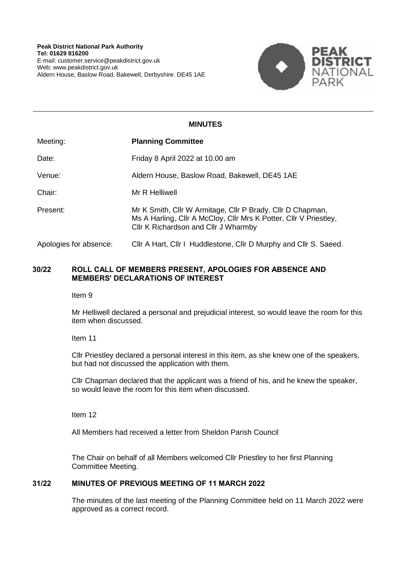

# **MINUTES**

| Meeting:               | <b>Planning Committee</b>                                                                                                                                               |
|------------------------|-------------------------------------------------------------------------------------------------------------------------------------------------------------------------|
| Date:                  | Friday 8 April 2022 at 10.00 am                                                                                                                                         |
| Venue:                 | Aldern House, Baslow Road, Bakewell, DE45 1AE                                                                                                                           |
| Chair:                 | Mr R Helliwell                                                                                                                                                          |
| Present:               | Mr K Smith, Cllr W Armitage, Cllr P Brady, Cllr D Chapman,<br>Ms A Harling, Cllr A McCloy, Cllr Mrs K Potter, Cllr V Priestley,<br>Cllr K Richardson and Cllr J Wharmby |
| Apologies for absence: | Cllr A Hart, Cllr I Huddlestone, Cllr D Murphy and Cllr S. Saeed.                                                                                                       |

## **30/22 ROLL CALL OF MEMBERS PRESENT, APOLOGIES FOR ABSENCE AND MEMBERS' DECLARATIONS OF INTEREST**

Item 9

Mr Helliwell declared a personal and prejudicial interest, so would leave the room for this item when discussed.

Item 11

Cllr Priestley declared a personal interest in this item, as she knew one of the speakers, but had not discussed the application with them.

Cllr Chapman declared that the applicant was a friend of his, and he knew the speaker, so would leave the room for this item when discussed.

Item 12

All Members had received a letter from Sheldon Parish Council

The Chair on behalf of all Members welcomed Cllr Priestley to her first Planning Committee Meeting.

## **31/22 MINUTES OF PREVIOUS MEETING OF 11 MARCH 2022**

The minutes of the last meeting of the Planning Committee held on 11 March 2022 were approved as a correct record.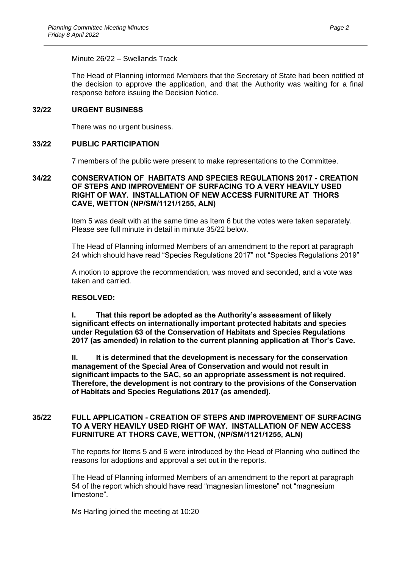### Minute 26/22 – Swellands Track

The Head of Planning informed Members that the Secretary of State had been notified of the decision to approve the application, and that the Authority was waiting for a final response before issuing the Decision Notice.

### **32/22 URGENT BUSINESS**

There was no urgent business.

## **33/22 PUBLIC PARTICIPATION**

7 members of the public were present to make representations to the Committee.

### **34/22 CONSERVATION OF HABITATS AND SPECIES REGULATIONS 2017 - CREATION OF STEPS AND IMPROVEMENT OF SURFACING TO A VERY HEAVILY USED RIGHT OF WAY. INSTALLATION OF NEW ACCESS FURNITURE AT THORS CAVE, WETTON (NP/SM/1121/1255, ALN)**

Item 5 was dealt with at the same time as Item 6 but the votes were taken separately. Please see full minute in detail in minute 35/22 below.

The Head of Planning informed Members of an amendment to the report at paragraph 24 which should have read "Species Regulations 2017" not "Species Regulations 2019"

A motion to approve the recommendation, was moved and seconded, and a vote was taken and carried.

## **RESOLVED:**

**I. That this report be adopted as the Authority's assessment of likely significant effects on internationally important protected habitats and species under Regulation 63 of the Conservation of Habitats and Species Regulations 2017 (as amended) in relation to the current planning application at Thor's Cave.**

**II. It is determined that the development is necessary for the conservation management of the Special Area of Conservation and would not result in significant impacts to the SAC, so an appropriate assessment is not required. Therefore, the development is not contrary to the provisions of the Conservation of Habitats and Species Regulations 2017 (as amended).**

## **35/22 FULL APPLICATION - CREATION OF STEPS AND IMPROVEMENT OF SURFACING TO A VERY HEAVILY USED RIGHT OF WAY. INSTALLATION OF NEW ACCESS FURNITURE AT THORS CAVE, WETTON, (NP/SM/1121/1255, ALN)**

The reports for Items 5 and 6 were introduced by the Head of Planning who outlined the reasons for adoptions and approval a set out in the reports.

The Head of Planning informed Members of an amendment to the report at paragraph 54 of the report which should have read "magnesian limestone" not "magnesium limestone".

Ms Harling joined the meeting at 10:20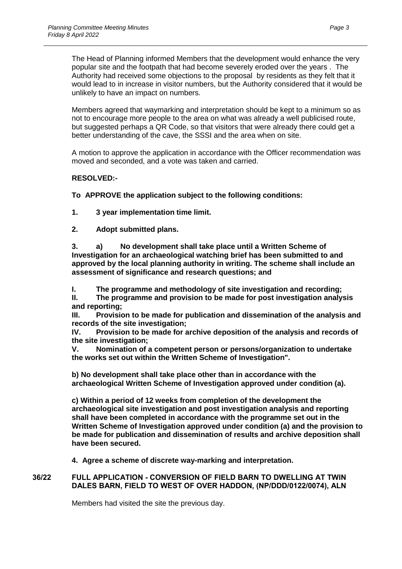The Head of Planning informed Members that the development would enhance the very popular site and the footpath that had become severely eroded over the years . The Authority had received some objections to the proposal by residents as they felt that it would lead to in increase in visitor numbers, but the Authority considered that it would be unlikely to have an impact on numbers.

Members agreed that waymarking and interpretation should be kept to a minimum so as not to encourage more people to the area on what was already a well publicised route, but suggested perhaps a QR Code, so that visitors that were already there could get a better understanding of the cave, the SSSI and the area when on site.

A motion to approve the application in accordance with the Officer recommendation was moved and seconded, and a vote was taken and carried.

## **RESOLVED:-**

**To APPROVE the application subject to the following conditions:**

**1. 3 year implementation time limit.**

**2. Adopt submitted plans.**

**3. a) No development shall take place until a Written Scheme of Investigation for an archaeological watching brief has been submitted to and approved by the local planning authority in writing. The scheme shall include an assessment of significance and research questions; and** 

**I. The programme and methodology of site investigation and recording;**

**II. The programme and provision to be made for post investigation analysis and reporting;**

**III. Provision to be made for publication and dissemination of the analysis and records of the site investigation;**

**IV. Provision to be made for archive deposition of the analysis and records of the site investigation;**

**V. Nomination of a competent person or persons/organization to undertake the works set out within the Written Scheme of Investigation".**

**b) No development shall take place other than in accordance with the archaeological Written Scheme of Investigation approved under condition (a).**

**c) Within a period of 12 weeks from completion of the development the archaeological site investigation and post investigation analysis and reporting shall have been completed in accordance with the programme set out in the Written Scheme of Investigation approved under condition (a) and the provision to be made for publication and dissemination of results and archive deposition shall have been secured.**

**4. Agree a scheme of discrete way-marking and interpretation.**

## **36/22 FULL APPLICATION - CONVERSION OF FIELD BARN TO DWELLING AT TWIN DALES BARN, FIELD TO WEST OF OVER HADDON, (NP/DDD/0122/0074), ALN**

Members had visited the site the previous day.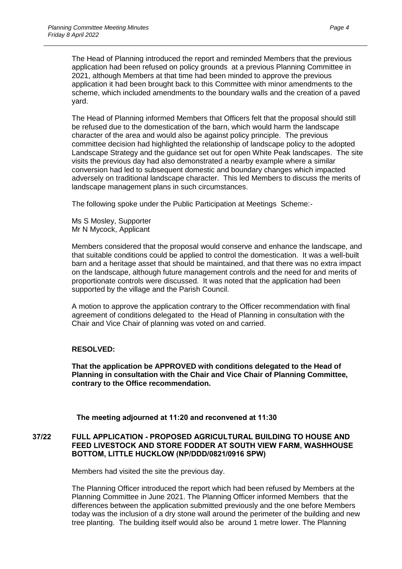The Head of Planning introduced the report and reminded Members that the previous application had been refused on policy grounds at a previous Planning Committee in 2021, although Members at that time had been minded to approve the previous application it had been brought back to this Committee with minor amendments to the scheme, which included amendments to the boundary walls and the creation of a paved yard.

The Head of Planning informed Members that Officers felt that the proposal should still be refused due to the domestication of the barn, which would harm the landscape character of the area and would also be against policy principle. The previous committee decision had highlighted the relationship of landscape policy to the adopted Landscape Strategy and the guidance set out for open White Peak landscapes. The site visits the previous day had also demonstrated a nearby example where a similar conversion had led to subsequent domestic and boundary changes which impacted adversely on traditional landscape character. This led Members to discuss the merits of landscape management plans in such circumstances.

The following spoke under the Public Participation at Meetings Scheme:-

Ms S Mosley, Supporter Mr N Mycock, Applicant

Members considered that the proposal would conserve and enhance the landscape, and that suitable conditions could be applied to control the domestication. It was a well-built barn and a heritage asset that should be maintained, and that there was no extra impact on the landscape, although future management controls and the need for and merits of proportionate controls were discussed. It was noted that the application had been supported by the village and the Parish Council.

A motion to approve the application contrary to the Officer recommendation with final agreement of conditions delegated to the Head of Planning in consultation with the Chair and Vice Chair of planning was voted on and carried.

## **RESOLVED:**

**That the application be APPROVED with conditions delegated to the Head of Planning in consultation with the Chair and Vice Chair of Planning Committee, contrary to the Office recommendation.**

**The meeting adjourned at 11:20 and reconvened at 11:30**

### **37/22 FULL APPLICATION - PROPOSED AGRICULTURAL BUILDING TO HOUSE AND FEED LIVESTOCK AND STORE FODDER AT SOUTH VIEW FARM, WASHHOUSE BOTTOM, LITTLE HUCKLOW (NP/DDD/0821/0916 SPW)**

Members had visited the site the previous day.

The Planning Officer introduced the report which had been refused by Members at the Planning Committee in June 2021. The Planning Officer informed Members that the differences between the application submitted previously and the one before Members today was the inclusion of a dry stone wall around the perimeter of the building and new tree planting. The building itself would also be around 1 metre lower. The Planning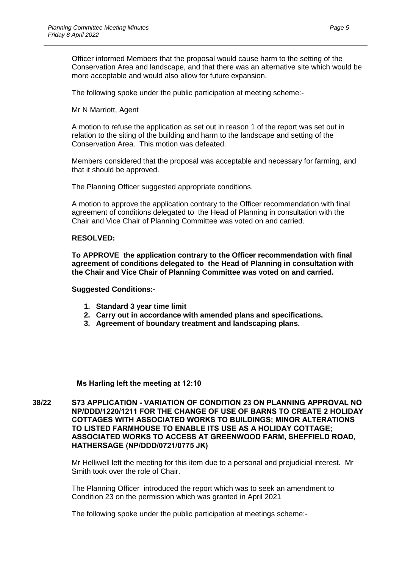Officer informed Members that the proposal would cause harm to the setting of the Conservation Area and landscape, and that there was an alternative site which would be more acceptable and would also allow for future expansion.

The following spoke under the public participation at meeting scheme:-

Mr N Marriott, Agent

A motion to refuse the application as set out in reason 1 of the report was set out in relation to the siting of the building and harm to the landscape and setting of the Conservation Area. This motion was defeated.

Members considered that the proposal was acceptable and necessary for farming, and that it should be approved.

The Planning Officer suggested appropriate conditions.

A motion to approve the application contrary to the Officer recommendation with final agreement of conditions delegated to the Head of Planning in consultation with the Chair and Vice Chair of Planning Committee was voted on and carried.

## **RESOLVED:**

**To APPROVE the application contrary to the Officer recommendation with final agreement of conditions delegated to the Head of Planning in consultation with the Chair and Vice Chair of Planning Committee was voted on and carried.**

#### **Suggested Conditions:-**

- **1. Standard 3 year time limit**
- **2. Carry out in accordance with amended plans and specifications.**
- **3. Agreement of boundary treatment and landscaping plans.**

## **Ms Harling left the meeting at 12:10**

**38/22 S73 APPLICATION - VARIATION OF CONDITION 23 ON PLANNING APPROVAL NO NP/DDD/1220/1211 FOR THE CHANGE OF USE OF BARNS TO CREATE 2 HOLIDAY COTTAGES WITH ASSOCIATED WORKS TO BUILDINGS; MINOR ALTERATIONS TO LISTED FARMHOUSE TO ENABLE ITS USE AS A HOLIDAY COTTAGE; ASSOCIATED WORKS TO ACCESS AT GREENWOOD FARM, SHEFFIELD ROAD, HATHERSAGE (NP/DDD/0721/0775 JK)**

> Mr Helliwell left the meeting for this item due to a personal and prejudicial interest. Mr Smith took over the role of Chair.

The Planning Officer introduced the report which was to seek an amendment to Condition 23 on the permission which was granted in April 2021

The following spoke under the public participation at meetings scheme:-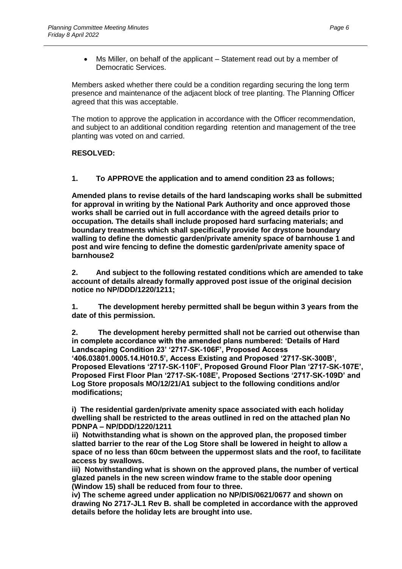Ms Miller, on behalf of the applicant – Statement read out by a member of Democratic Services.

Members asked whether there could be a condition regarding securing the long term presence and maintenance of the adjacent block of tree planting. The Planning Officer agreed that this was acceptable.

The motion to approve the application in accordance with the Officer recommendation, and subject to an additional condition regarding retention and management of the tree planting was voted on and carried.

## **RESOLVED:**

# **1. To APPROVE the application and to amend condition 23 as follows;**

**Amended plans to revise details of the hard landscaping works shall be submitted for approval in writing by the National Park Authority and once approved those works shall be carried out in full accordance with the agreed details prior to occupation. The details shall include proposed hard surfacing materials; and boundary treatments which shall specifically provide for drystone boundary walling to define the domestic garden/private amenity space of barnhouse 1 and post and wire fencing to define the domestic garden/private amenity space of barnhouse2** 

**2. And subject to the following restated conditions which are amended to take account of details already formally approved post issue of the original decision notice no NP/DDD/1220/1211;**

**1. The development hereby permitted shall be begun within 3 years from the date of this permission.** 

**2. The development hereby permitted shall not be carried out otherwise than in complete accordance with the amended plans numbered: 'Details of Hard Landscaping Condition 23' '2717-SK-106F', Proposed Access '406.03801.0005.14.H010.5', Access Existing and Proposed '2717-SK-300B', Proposed Elevations '2717-SK-110F', Proposed Ground Floor Plan '2717-SK-107E', Proposed First Floor Plan '2717-SK-108E', Proposed Sections '2717-SK-109D' and Log Store proposals MO/12/21/A1 subject to the following conditions and/or modifications;**

**i) The residential garden/private amenity space associated with each holiday dwelling shall be restricted to the areas outlined in red on the attached plan No PDNPA – NP/DDD/1220/1211** 

**ii) Notwithstanding what is shown on the approved plan, the proposed timber slatted barrier to the rear of the Log Store shall be lowered in height to allow a space of no less than 60cm between the uppermost slats and the roof, to facilitate access by swallows.** 

**iii) Notwithstanding what is shown on the approved plans, the number of vertical glazed panels in the new screen window frame to the stable door opening (Window 15) shall be reduced from four to three.** 

**iv) The scheme agreed under application no NP/DIS/0621/0677 and shown on drawing No 2717-JL1 Rev B. shall be completed in accordance with the approved details before the holiday lets are brought into use.**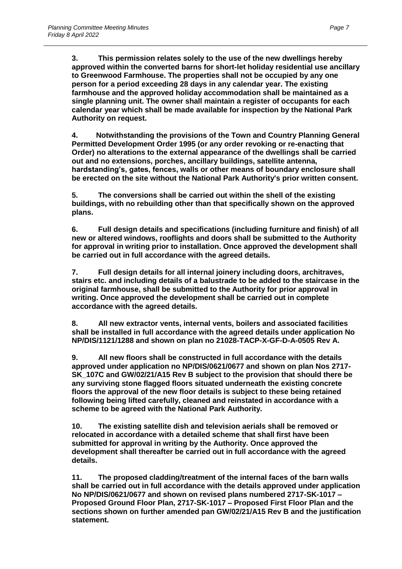**3. This permission relates solely to the use of the new dwellings hereby approved within the converted barns for short-let holiday residential use ancillary to Greenwood Farmhouse. The properties shall not be occupied by any one person for a period exceeding 28 days in any calendar year. The existing farmhouse and the approved holiday accommodation shall be maintained as a single planning unit. The owner shall maintain a register of occupants for each calendar year which shall be made available for inspection by the National Park Authority on request.** 

**4. Notwithstanding the provisions of the Town and Country Planning General Permitted Development Order 1995 (or any order revoking or re-enacting that Order) no alterations to the external appearance of the dwellings shall be carried out and no extensions, porches, ancillary buildings, satellite antenna, hardstanding's, gates, fences, walls or other means of boundary enclosure shall be erected on the site without the National Park Authority's prior written consent.** 

**5. The conversions shall be carried out within the shell of the existing buildings, with no rebuilding other than that specifically shown on the approved plans.** 

**6. Full design details and specifications (including furniture and finish) of all new or altered windows, rooflights and doors shall be submitted to the Authority for approval in writing prior to installation. Once approved the development shall be carried out in full accordance with the agreed details.** 

**7. Full design details for all internal joinery including doors, architraves, stairs etc. and including details of a balustrade to be added to the staircase in the original farmhouse, shall be submitted to the Authority for prior approval in writing. Once approved the development shall be carried out in complete accordance with the agreed details.** 

**8. All new extractor vents, internal vents, boilers and associated facilities shall be installed in full accordance with the agreed details under application No NP/DIS/1121/1288 and shown on plan no 21028-TACP-X-GF-D-A-0505 Rev A.** 

**9. All new floors shall be constructed in full accordance with the details approved under application no NP/DIS/0621/0677 and shown on plan Nos 2717- SK\_107C and GW/02/21/A15 Rev B subject to the provision that should there be any surviving stone flagged floors situated underneath the existing concrete floors the approval of the new floor details is subject to these being retained following being lifted carefully, cleaned and reinstated in accordance with a scheme to be agreed with the National Park Authority.** 

**10. The existing satellite dish and television aerials shall be removed or relocated in accordance with a detailed scheme that shall first have been submitted for approval in writing by the Authority. Once approved the development shall thereafter be carried out in full accordance with the agreed details.** 

**11. The proposed cladding/treatment of the internal faces of the barn walls shall be carried out in full accordance with the details approved under application No NP/DIS/0621/0677 and shown on revised plans numbered 2717-SK-1017 – Proposed Ground Floor Plan, 2717-SK-1017 – Proposed First Floor Plan and the sections shown on further amended pan GW/02/21/A15 Rev B and the justification statement.**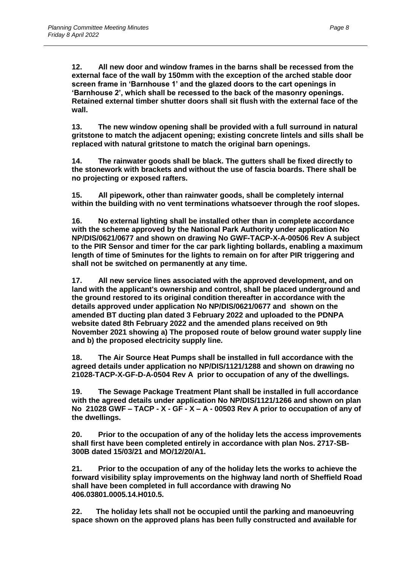**12. All new door and window frames in the barns shall be recessed from the external face of the wall by 150mm with the exception of the arched stable door screen frame in 'Barnhouse 1' and the glazed doors to the cart openings in 'Barnhouse 2', which shall be recessed to the back of the masonry openings. Retained external timber shutter doors shall sit flush with the external face of the wall.** 

**13. The new window opening shall be provided with a full surround in natural gritstone to match the adjacent opening; existing concrete lintels and sills shall be replaced with natural gritstone to match the original barn openings.** 

**14. The rainwater goods shall be black. The gutters shall be fixed directly to the stonework with brackets and without the use of fascia boards. There shall be no projecting or exposed rafters.** 

**15. All pipework, other than rainwater goods, shall be completely internal within the building with no vent terminations whatsoever through the roof slopes.** 

**16. No external lighting shall be installed other than in complete accordance with the scheme approved by the National Park Authority under application No NP/DIS/0621/0677 and shown on drawing No GWF-TACP-X-A-00506 Rev A subject to the PIR Sensor and timer for the car park lighting bollards, enabling a maximum length of time of 5minutes for the lights to remain on for after PIR triggering and shall not be switched on permanently at any time.**

**17. All new service lines associated with the approved development, and on land with the applicant's ownership and control, shall be placed underground and the ground restored to its original condition thereafter in accordance with the details approved under application No NP/DIS/0621/0677 and shown on the amended BT ducting plan dated 3 February 2022 and uploaded to the PDNPA website dated 8th February 2022 and the amended plans received on 9th November 2021 showing a) The proposed route of below ground water supply line and b) the proposed electricity supply line.** 

**18. The Air Source Heat Pumps shall be installed in full accordance with the agreed details under application no NP/DIS/1121/1288 and shown on drawing no 21028-TACP-X-GF-D-A-0504 Rev A prior to occupation of any of the dwellings.** 

**19. The Sewage Package Treatment Plant shall be installed in full accordance with the agreed details under application No NP/DIS/1121/1266 and shown on plan No 21028 GWF – TACP - X - GF - X – A - 00503 Rev A prior to occupation of any of the dwellings.** 

**20. Prior to the occupation of any of the holiday lets the access improvements shall first have been completed entirely in accordance with plan Nos. 2717-SB-300B dated 15/03/21 and MO/12/20/A1.** 

**21. Prior to the occupation of any of the holiday lets the works to achieve the forward visibility splay improvements on the highway land north of Sheffield Road shall have been completed in full accordance with drawing No 406.03801.0005.14.H010.5.** 

**22. The holiday lets shall not be occupied until the parking and manoeuvring space shown on the approved plans has been fully constructed and available for**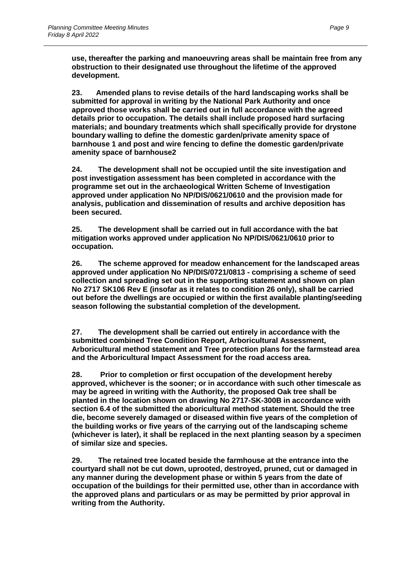**use, thereafter the parking and manoeuvring areas shall be maintain free from any obstruction to their designated use throughout the lifetime of the approved development.** 

**23. Amended plans to revise details of the hard landscaping works shall be submitted for approval in writing by the National Park Authority and once approved those works shall be carried out in full accordance with the agreed details prior to occupation. The details shall include proposed hard surfacing materials; and boundary treatments which shall specifically provide for drystone boundary walling to define the domestic garden/private amenity space of barnhouse 1 and post and wire fencing to define the domestic garden/private amenity space of barnhouse2** 

**24. The development shall not be occupied until the site investigation and post investigation assessment has been completed in accordance with the programme set out in the archaeological Written Scheme of Investigation approved under application No NP/DIS/0621/0610 and the provision made for analysis, publication and dissemination of results and archive deposition has been secured.** 

**25. The development shall be carried out in full accordance with the bat mitigation works approved under application No NP/DIS/0621/0610 prior to occupation.** 

**26. The scheme approved for meadow enhancement for the landscaped areas approved under application No NP/DIS/0721/0813 - comprising a scheme of seed collection and spreading set out in the supporting statement and shown on plan No 2717 SK106 Rev E (insofar as it relates to condition 26 only), shall be carried out before the dwellings are occupied or within the first available planting/seeding season following the substantial completion of the development.** 

**27. The development shall be carried out entirely in accordance with the submitted combined Tree Condition Report, Arboricultural Assessment, Arboricultural method statement and Tree protection plans for the farmstead area and the Arboricultural Impact Assessment for the road access area.** 

**28. Prior to completion or first occupation of the development hereby approved, whichever is the sooner; or in accordance with such other timescale as may be agreed in writing with the Authority, the proposed Oak tree shall be planted in the location shown on drawing No 2717-SK-300B in accordance with section 6.4 of the submitted the aboricultural method statement. Should the tree die, become severely damaged or diseased within five years of the completion of the building works or five years of the carrying out of the landscaping scheme (whichever is later), it shall be replaced in the next planting season by a specimen of similar size and species.** 

**29. The retained tree located beside the farmhouse at the entrance into the courtyard shall not be cut down, uprooted, destroyed, pruned, cut or damaged in any manner during the development phase or within 5 years from the date of occupation of the buildings for their permitted use, other than in accordance with the approved plans and particulars or as may be permitted by prior approval in writing from the Authority.**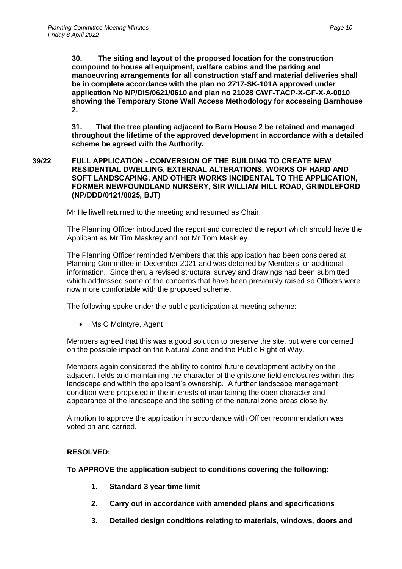**30. The siting and layout of the proposed location for the construction compound to house all equipment, welfare cabins and the parking and manoeuvring arrangements for all construction staff and material deliveries shall be in complete accordance with the plan no 2717-SK-101A approved under application No NP/DIS/0621/0610 and plan no 21028 GWF-TACP-X-GF-X-A-0010 showing the Temporary Stone Wall Access Methodology for accessing Barnhouse 2.** 

**31. That the tree planting adjacent to Barn House 2 be retained and managed throughout the lifetime of the approved development in accordance with a detailed scheme be agreed with the Authority.**

### **39/22 FULL APPLICATION - CONVERSION OF THE BUILDING TO CREATE NEW RESIDENTIAL DWELLING, EXTERNAL ALTERATIONS, WORKS OF HARD AND SOFT LANDSCAPING, AND OTHER WORKS INCIDENTAL TO THE APPLICATION, FORMER NEWFOUNDLAND NURSERY, SIR WILLIAM HILL ROAD, GRINDLEFORD (NP/DDD/0121/0025, BJT)**

Mr Helliwell returned to the meeting and resumed as Chair.

The Planning Officer introduced the report and corrected the report which should have the Applicant as Mr Tim Maskrey and not Mr Tom Maskrey.

The Planning Officer reminded Members that this application had been considered at Planning Committee in December 2021 and was deferred by Members for additional information. Since then, a revised structural survey and drawings had been submitted which addressed some of the concerns that have been previously raised so Officers were now more comfortable with the proposed scheme.

The following spoke under the public participation at meeting scheme:-

Ms C McIntyre, Agent

Members agreed that this was a good solution to preserve the site, but were concerned on the possible impact on the Natural Zone and the Public Right of Way.

Members again considered the ability to control future development activity on the adjacent fields and maintaining the character of the gritstone field enclosures within this landscape and within the applicant's ownership. A further landscape management condition were proposed in the interests of maintaining the open character and appearance of the landscape and the setting of the natural zone areas close by.

A motion to approve the application in accordance with Officer recommendation was voted on and carried.

## **RESOLVED:**

**To APPROVE the application subject to conditions covering the following:**

- **1. Standard 3 year time limit**
- **2. Carry out in accordance with amended plans and specifications**
- **3. Detailed design conditions relating to materials, windows, doors and**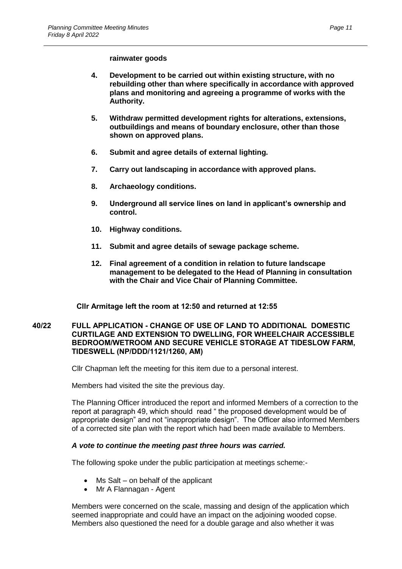#### **rainwater goods**

- **4. Development to be carried out within existing structure, with no rebuilding other than where specifically in accordance with approved plans and monitoring and agreeing a programme of works with the Authority.**
- **5. Withdraw permitted development rights for alterations, extensions, outbuildings and means of boundary enclosure, other than those shown on approved plans.**
- **6. Submit and agree details of external lighting.**
- **7. Carry out landscaping in accordance with approved plans.**
- **8. Archaeology conditions.**
- **9. Underground all service lines on land in applicant's ownership and control.**
- **10. Highway conditions.**
- **11. Submit and agree details of sewage package scheme.**
- **12. Final agreement of a condition in relation to future landscape management to be delegated to the Head of Planning in consultation with the Chair and Vice Chair of Planning Committee.**

**Cllr Armitage left the room at 12:50 and returned at 12:55**

### **40/22 FULL APPLICATION - CHANGE OF USE OF LAND TO ADDITIONAL DOMESTIC CURTILAGE AND EXTENSION TO DWELLING, FOR WHEELCHAIR ACCESSIBLE BEDROOM/WETROOM AND SECURE VEHICLE STORAGE AT TIDESLOW FARM, TIDESWELL (NP/DDD/1121/1260, AM)**

Cllr Chapman left the meeting for this item due to a personal interest.

Members had visited the site the previous day.

The Planning Officer introduced the report and informed Members of a correction to the report at paragraph 49, which should read " the proposed development would be of appropriate design" and not "inappropriate design". The Officer also informed Members of a corrected site plan with the report which had been made available to Members.

## *A vote to continue the meeting past three hours was carried.*

The following spoke under the public participation at meetings scheme:-

- Ms Salt on behalf of the applicant
- Mr A Flannagan Agent

Members were concerned on the scale, massing and design of the application which seemed inappropriate and could have an impact on the adjoining wooded copse. Members also questioned the need for a double garage and also whether it was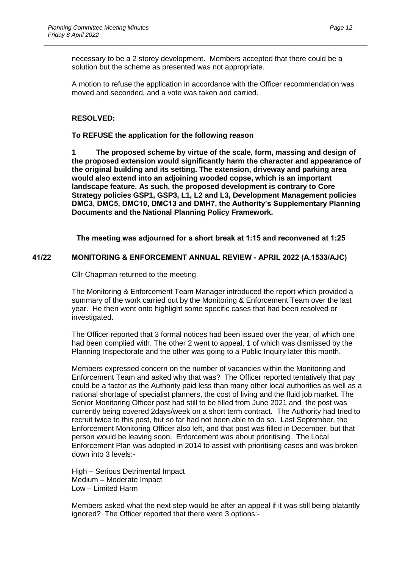necessary to be a 2 storey development. Members accepted that there could be a solution but the scheme as presented was not appropriate.

A motion to refuse the application in accordance with the Officer recommendation was moved and seconded, and a vote was taken and carried.

### **RESOLVED:**

#### **To REFUSE the application for the following reason**

**1 The proposed scheme by virtue of the scale, form, massing and design of the proposed extension would significantly harm the character and appearance of the original building and its setting. The extension, driveway and parking area would also extend into an adjoining wooded copse, which is an important landscape feature. As such, the proposed development is contrary to Core Strategy policies GSP1, GSP3, L1, L2 and L3, Development Management policies DMC3, DMC5, DMC10, DMC13 and DMH7, the Authority's Supplementary Planning Documents and the National Planning Policy Framework.**

**The meeting was adjourned for a short break at 1:15 and reconvened at 1:25**

### **41/22 MONITORING & ENFORCEMENT ANNUAL REVIEW - APRIL 2022 (A.1533/AJC)**

Cllr Chapman returned to the meeting.

The Monitoring & Enforcement Team Manager introduced the report which provided a summary of the work carried out by the Monitoring & Enforcement Team over the last year. He then went onto highlight some specific cases that had been resolved or investigated.

The Officer reported that 3 formal notices had been issued over the year, of which one had been complied with. The other 2 went to appeal, 1 of which was dismissed by the Planning Inspectorate and the other was going to a Public Inquiry later this month.

Members expressed concern on the number of vacancies within the Monitoring and Enforcement Team and asked why that was? The Officer reported tentatively that pay could be a factor as the Authority paid less than many other local authorities as well as a national shortage of specialist planners, the cost of living and the fluid job market. The Senior Monitoring Officer post had still to be filled from June 2021 and the post was currently being covered 2days/week on a short term contract. The Authority had tried to recruit twice to this post, but so far had not been able to do so. Last September, the Enforcement Monitoring Officer also left, and that post was filled in December, but that person would be leaving soon. Enforcement was about prioritising. The Local Enforcement Plan was adopted in 2014 to assist with prioritising cases and was broken down into 3 levels:-

High – Serious Detrimental Impact Medium – Moderate Impact Low – Limited Harm

Members asked what the next step would be after an appeal if it was still being blatantly ignored? The Officer reported that there were 3 options:-